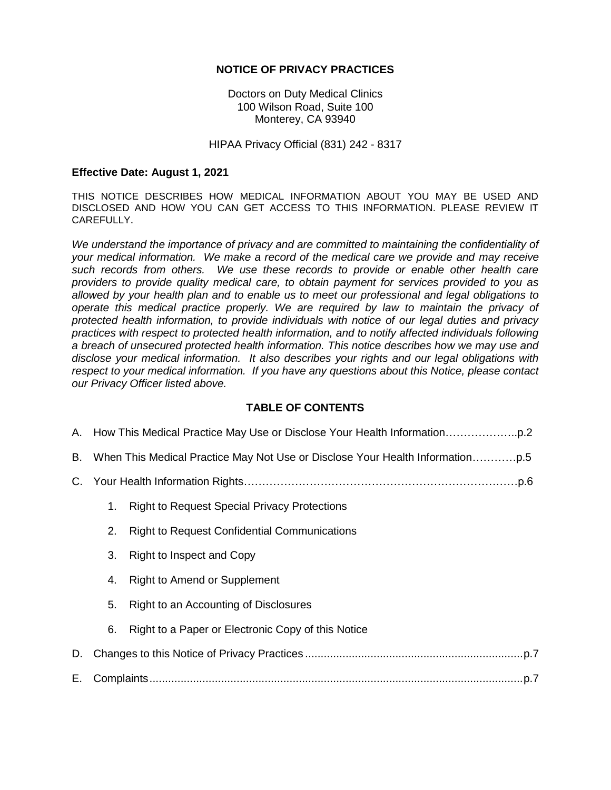### **NOTICE OF PRIVACY PRACTICES**

Doctors on Duty Medical Clinics 100 Wilson Road, Suite 100 Monterey, CA 93940

#### HIPAA Privacy Official (831) 242 - 8317

#### **Effective Date: August 1, 2021**

THIS NOTICE DESCRIBES HOW MEDICAL INFORMATION ABOUT YOU MAY BE USED AND DISCLOSED AND HOW YOU CAN GET ACCESS TO THIS INFORMATION. PLEASE REVIEW IT CAREFULLY.

*We understand the importance of privacy and are committed to maintaining the confidentiality of your medical information. We make a record of the medical care we provide and may receive such records from others. We use these records to provide or enable other health care providers to provide quality medical care, to obtain payment for services provided to you as allowed by your health plan and to enable us to meet our professional and legal obligations to operate this medical practice properly. We are required by law to maintain the privacy of protected health information, to provide individuals with notice of our legal duties and privacy practices with respect to protected health information, and to notify affected individuals following a breach of unsecured protected health information. This notice describes how we may use and disclose your medical information. It also describes your rights and our legal obligations with respect to your medical information. If you have any questions about this Notice, please contact our Privacy Officer listed above.*

#### **TABLE OF CONTENTS**

|    | B. When This Medical Practice May Not Use or Disclose Your Health Information |                                                     |  |  |
|----|-------------------------------------------------------------------------------|-----------------------------------------------------|--|--|
|    |                                                                               |                                                     |  |  |
|    | 1.                                                                            | <b>Right to Request Special Privacy Protections</b> |  |  |
|    | 2.                                                                            | <b>Right to Request Confidential Communications</b> |  |  |
|    | 3.                                                                            | Right to Inspect and Copy                           |  |  |
|    | 4.                                                                            | <b>Right to Amend or Supplement</b>                 |  |  |
|    | 5.                                                                            | Right to an Accounting of Disclosures               |  |  |
|    | 6.                                                                            | Right to a Paper or Electronic Copy of this Notice  |  |  |
| D. |                                                                               |                                                     |  |  |
| Е. |                                                                               |                                                     |  |  |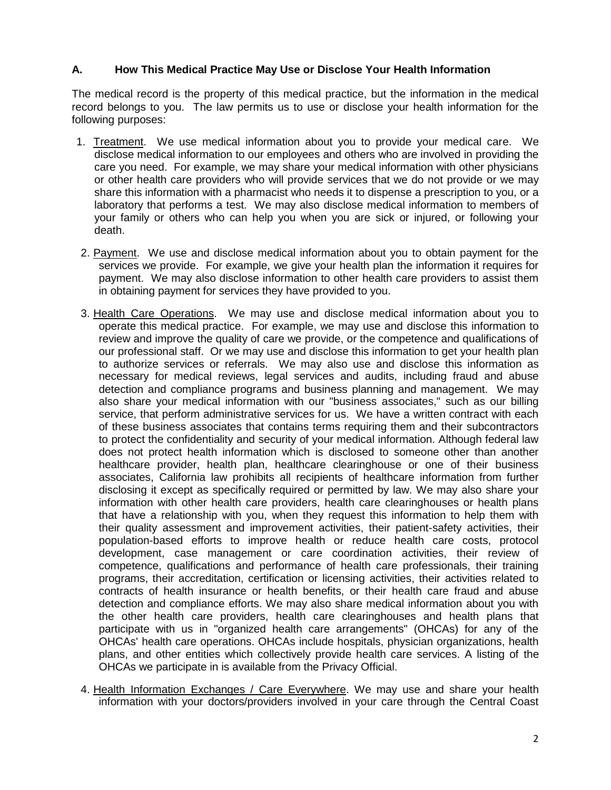### **A. How This Medical Practice May Use or Disclose Your Health Information**

The medical record is the property of this medical practice, but the information in the medical record belongs to you. The law permits us to use or disclose your health information for the following purposes:

- 1. Treatment. We use medical information about you to provide your medical care. We disclose medical information to our employees and others who are involved in providing the care you need. For example, we may share your medical information with other physicians or other health care providers who will provide services that we do not provide or we may share this information with a pharmacist who needs it to dispense a prescription to you, or a laboratory that performs a test. We may also disclose medical information to members of your family or others who can help you when you are sick or injured, or following your death.
- 2. Payment. We use and disclose medical information about you to obtain payment for the services we provide. For example, we give your health plan the information it requires for payment. We may also disclose information to other health care providers to assist them in obtaining payment for services they have provided to you.
- 3. Health Care Operations. We may use and disclose medical information about you to operate this medical practice. For example, we may use and disclose this information to review and improve the quality of care we provide, or the competence and qualifications of our professional staff. Or we may use and disclose this information to get your health plan to authorize services or referrals. We may also use and disclose this information as necessary for medical reviews, legal services and audits, including fraud and abuse detection and compliance programs and business planning and management. We may also share your medical information with our "business associates," such as our billing service, that perform administrative services for us. We have a written contract with each of these business associates that contains terms requiring them and their subcontractors to protect the confidentiality and security of your medical information. Although federal law does not protect health information which is disclosed to someone other than another healthcare provider, health plan, healthcare clearinghouse or one of their business associates, California law prohibits all recipients of healthcare information from further disclosing it except as specifically required or permitted by law. We may also share your information with other health care providers, health care clearinghouses or health plans that have a relationship with you, when they request this information to help them with their quality assessment and improvement activities, their patient-safety activities, their population-based efforts to improve health or reduce health care costs, protocol development, case management or care coordination activities, their review of competence, qualifications and performance of health care professionals, their training programs, their accreditation, certification or licensing activities, their activities related to contracts of health insurance or health benefits, or their health care fraud and abuse detection and compliance efforts. We may also share medical information about you with the other health care providers, health care clearinghouses and health plans that participate with us in "organized health care arrangements" (OHCAs) for any of the OHCAs' health care operations. OHCAs include hospitals, physician organizations, health plans, and other entities which collectively provide health care services. A listing of the OHCAs we participate in is available from the Privacy Official.
- 4. Health Information Exchanges / Care Everywhere. We may use and share your health information with your doctors/providers involved in your care through the Central Coast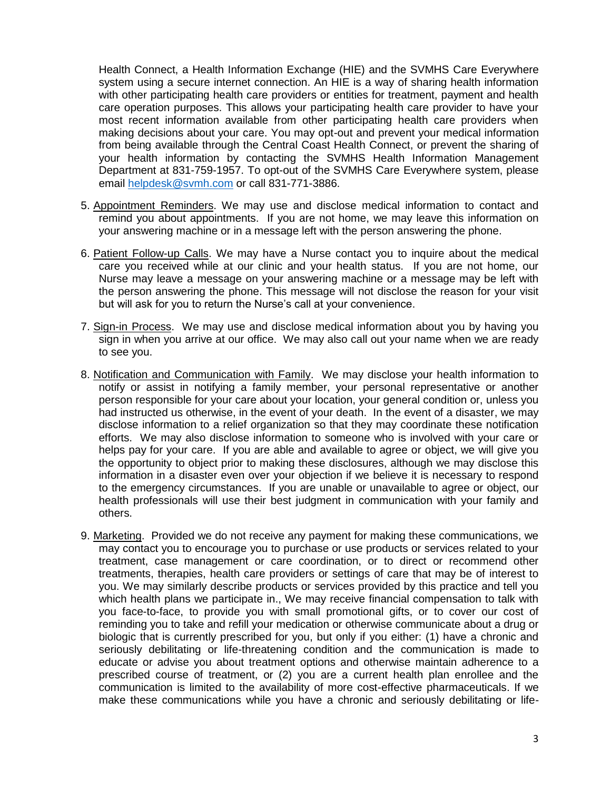Health Connect, a Health Information Exchange (HIE) and the SVMHS Care Everywhere system using a secure internet connection. An HIE is a way of sharing health information with other participating health care providers or entities for treatment, payment and health care operation purposes. This allows your participating health care provider to have your most recent information available from other participating health care providers when making decisions about your care. You may opt-out and prevent your medical information from being available through the Central Coast Health Connect, or prevent the sharing of your health information by contacting the SVMHS Health Information Management Department at 831-759-1957. To opt-out of the SVMHS Care Everywhere system, please email [helpdesk@svmh.com](mailto:helpdesk@svmh.com) or call 831-771-3886.

- 5. Appointment Reminders. We may use and disclose medical information to contact and remind you about appointments. If you are not home, we may leave this information on your answering machine or in a message left with the person answering the phone.
- 6. Patient Follow-up Calls. We may have a Nurse contact you to inquire about the medical care you received while at our clinic and your health status. If you are not home, our Nurse may leave a message on your answering machine or a message may be left with the person answering the phone. This message will not disclose the reason for your visit but will ask for you to return the Nurse's call at your convenience.
- 7. Sign-in Process. We may use and disclose medical information about you by having you sign in when you arrive at our office. We may also call out your name when we are ready to see you.
- 8. Notification and Communication with Family. We may disclose your health information to notify or assist in notifying a family member, your personal representative or another person responsible for your care about your location, your general condition or, unless you had instructed us otherwise, in the event of your death. In the event of a disaster, we may disclose information to a relief organization so that they may coordinate these notification efforts. We may also disclose information to someone who is involved with your care or helps pay for your care. If you are able and available to agree or object, we will give you the opportunity to object prior to making these disclosures, although we may disclose this information in a disaster even over your objection if we believe it is necessary to respond to the emergency circumstances. If you are unable or unavailable to agree or object, our health professionals will use their best judgment in communication with your family and others.
- 9. Marketing. Provided we do not receive any payment for making these communications, we may contact you to encourage you to purchase or use products or services related to your treatment, case management or care coordination, or to direct or recommend other treatments, therapies, health care providers or settings of care that may be of interest to you. We may similarly describe products or services provided by this practice and tell you which health plans we participate in., We may receive financial compensation to talk with you face-to-face, to provide you with small promotional gifts, or to cover our cost of reminding you to take and refill your medication or otherwise communicate about a drug or biologic that is currently prescribed for you, but only if you either: (1) have a chronic and seriously debilitating or life-threatening condition and the communication is made to educate or advise you about treatment options and otherwise maintain adherence to a prescribed course of treatment, or (2) you are a current health plan enrollee and the communication is limited to the availability of more cost-effective pharmaceuticals. If we make these communications while you have a chronic and seriously debilitating or life-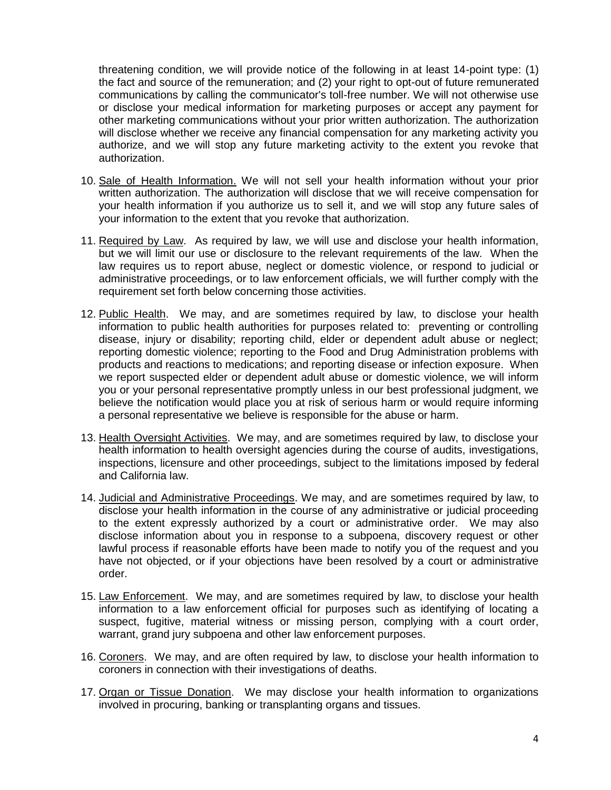threatening condition, we will provide notice of the following in at least 14-point type: (1) the fact and source of the remuneration; and (2) your right to opt-out of future remunerated communications by calling the communicator's toll-free number. We will not otherwise use or disclose your medical information for marketing purposes or accept any payment for other marketing communications without your prior written authorization. The authorization will disclose whether we receive any financial compensation for any marketing activity you authorize, and we will stop any future marketing activity to the extent you revoke that authorization.

- 10. Sale of Health Information. We will not sell your health information without your prior written authorization. The authorization will disclose that we will receive compensation for your health information if you authorize us to sell it, and we will stop any future sales of your information to the extent that you revoke that authorization.
- 11. Required by Law. As required by law, we will use and disclose your health information, but we will limit our use or disclosure to the relevant requirements of the law. When the law requires us to report abuse, neglect or domestic violence, or respond to judicial or administrative proceedings, or to law enforcement officials, we will further comply with the requirement set forth below concerning those activities.
- 12. Public Health. We may, and are sometimes required by law, to disclose your health information to public health authorities for purposes related to: preventing or controlling disease, injury or disability; reporting child, elder or dependent adult abuse or neglect; reporting domestic violence; reporting to the Food and Drug Administration problems with products and reactions to medications; and reporting disease or infection exposure. When we report suspected elder or dependent adult abuse or domestic violence, we will inform you or your personal representative promptly unless in our best professional judgment, we believe the notification would place you at risk of serious harm or would require informing a personal representative we believe is responsible for the abuse or harm.
- 13. Health Oversight Activities. We may, and are sometimes required by law, to disclose your health information to health oversight agencies during the course of audits, investigations, inspections, licensure and other proceedings, subject to the limitations imposed by federal and California law.
- 14. Judicial and Administrative Proceedings. We may, and are sometimes required by law, to disclose your health information in the course of any administrative or judicial proceeding to the extent expressly authorized by a court or administrative order. We may also disclose information about you in response to a subpoena, discovery request or other lawful process if reasonable efforts have been made to notify you of the request and you have not objected, or if your objections have been resolved by a court or administrative order.
- 15. Law Enforcement. We may, and are sometimes required by law, to disclose your health information to a law enforcement official for purposes such as identifying of locating a suspect, fugitive, material witness or missing person, complying with a court order, warrant, grand jury subpoena and other law enforcement purposes.
- 16. Coroners. We may, and are often required by law, to disclose your health information to coroners in connection with their investigations of deaths.
- 17. Organ or Tissue Donation. We may disclose your health information to organizations involved in procuring, banking or transplanting organs and tissues.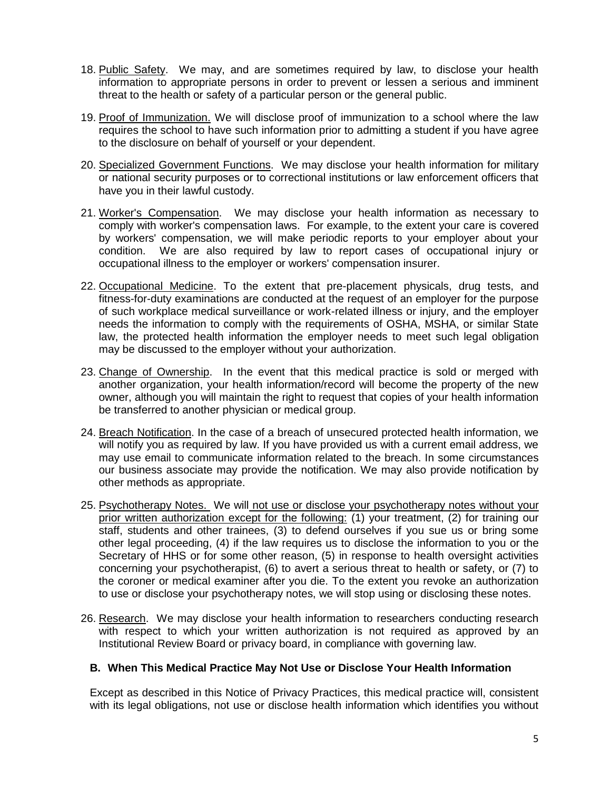- 18. Public Safety. We may, and are sometimes required by law, to disclose your health information to appropriate persons in order to prevent or lessen a serious and imminent threat to the health or safety of a particular person or the general public.
- 19. Proof of Immunization. We will disclose proof of immunization to a school where the law requires the school to have such information prior to admitting a student if you have agree to the disclosure on behalf of yourself or your dependent.
- 20. Specialized Government Functions. We may disclose your health information for military or national security purposes or to correctional institutions or law enforcement officers that have you in their lawful custody.
- 21. Worker's Compensation. We may disclose your health information as necessary to comply with worker's compensation laws. For example, to the extent your care is covered by workers' compensation, we will make periodic reports to your employer about your condition. We are also required by law to report cases of occupational injury or occupational illness to the employer or workers' compensation insurer.
- 22. Occupational Medicine. To the extent that pre-placement physicals, drug tests, and fitness-for-duty examinations are conducted at the request of an employer for the purpose of such workplace medical surveillance or work-related illness or injury, and the employer needs the information to comply with the requirements of OSHA, MSHA, or similar State law, the protected health information the employer needs to meet such legal obligation may be discussed to the employer without your authorization.
- 23. Change of Ownership. In the event that this medical practice is sold or merged with another organization, your health information/record will become the property of the new owner, although you will maintain the right to request that copies of your health information be transferred to another physician or medical group.
- 24. Breach Notification. In the case of a breach of unsecured protected health information, we will notify you as required by law. If you have provided us with a current email address, we may use email to communicate information related to the breach. In some circumstances our business associate may provide the notification. We may also provide notification by other methods as appropriate.
- 25. Psychotherapy Notes. We will not use or disclose your psychotherapy notes without your prior written authorization except for the following: (1) your treatment, (2) for training our staff, students and other trainees, (3) to defend ourselves if you sue us or bring some other legal proceeding, (4) if the law requires us to disclose the information to you or the Secretary of HHS or for some other reason, (5) in response to health oversight activities concerning your psychotherapist, (6) to avert a serious threat to health or safety, or (7) to the coroner or medical examiner after you die. To the extent you revoke an authorization to use or disclose your psychotherapy notes, we will stop using or disclosing these notes.
- 26. Research. We may disclose your health information to researchers conducting research with respect to which your written authorization is not required as approved by an Institutional Review Board or privacy board, in compliance with governing law.

### **B. When This Medical Practice May Not Use or Disclose Your Health Information**

Except as described in this Notice of Privacy Practices, this medical practice will, consistent with its legal obligations, not use or disclose health information which identifies you without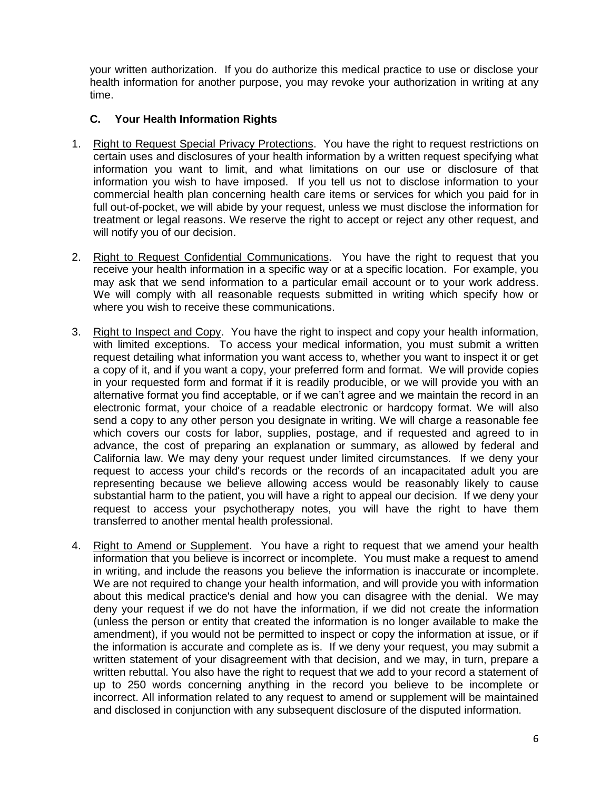your written authorization. If you do authorize this medical practice to use or disclose your health information for another purpose, you may revoke your authorization in writing at any time.

# **C. Your Health Information Rights**

- 1. Right to Request Special Privacy Protections. You have the right to request restrictions on certain uses and disclosures of your health information by a written request specifying what information you want to limit, and what limitations on our use or disclosure of that information you wish to have imposed. If you tell us not to disclose information to your commercial health plan concerning health care items or services for which you paid for in full out-of-pocket, we will abide by your request, unless we must disclose the information for treatment or legal reasons. We reserve the right to accept or reject any other request, and will notify you of our decision.
- 2. Right to Request Confidential Communications. You have the right to request that you receive your health information in a specific way or at a specific location. For example, you may ask that we send information to a particular email account or to your work address. We will comply with all reasonable requests submitted in writing which specify how or where you wish to receive these communications.
- 3. Right to Inspect and Copy. You have the right to inspect and copy your health information, with limited exceptions. To access your medical information, you must submit a written request detailing what information you want access to, whether you want to inspect it or get a copy of it, and if you want a copy, your preferred form and format. We will provide copies in your requested form and format if it is readily producible, or we will provide you with an alternative format you find acceptable, or if we can't agree and we maintain the record in an electronic format, your choice of a readable electronic or hardcopy format. We will also send a copy to any other person you designate in writing. We will charge a reasonable fee which covers our costs for labor, supplies, postage, and if requested and agreed to in advance, the cost of preparing an explanation or summary, as allowed by federal and California law. We may deny your request under limited circumstances. If we deny your request to access your child's records or the records of an incapacitated adult you are representing because we believe allowing access would be reasonably likely to cause substantial harm to the patient, you will have a right to appeal our decision. If we deny your request to access your psychotherapy notes, you will have the right to have them transferred to another mental health professional.
- 4. Right to Amend or Supplement. You have a right to request that we amend your health information that you believe is incorrect or incomplete. You must make a request to amend in writing, and include the reasons you believe the information is inaccurate or incomplete. We are not required to change your health information, and will provide you with information about this medical practice's denial and how you can disagree with the denial. We may deny your request if we do not have the information, if we did not create the information (unless the person or entity that created the information is no longer available to make the amendment), if you would not be permitted to inspect or copy the information at issue, or if the information is accurate and complete as is. If we deny your request, you may submit a written statement of your disagreement with that decision, and we may, in turn, prepare a written rebuttal. You also have the right to request that we add to your record a statement of up to 250 words concerning anything in the record you believe to be incomplete or incorrect. All information related to any request to amend or supplement will be maintained and disclosed in conjunction with any subsequent disclosure of the disputed information.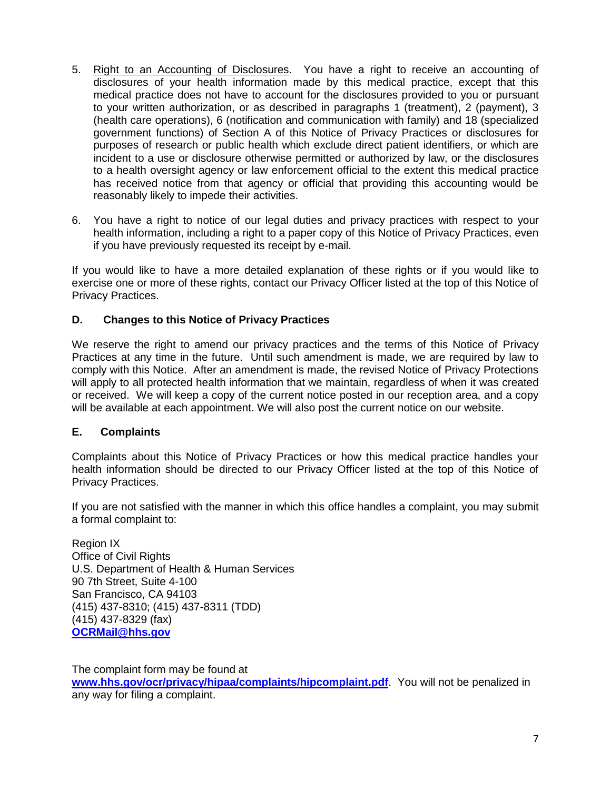- 5. Right to an Accounting of Disclosures. You have a right to receive an accounting of disclosures of your health information made by this medical practice, except that this medical practice does not have to account for the disclosures provided to you or pursuant to your written authorization, or as described in paragraphs 1 (treatment), 2 (payment), 3 (health care operations), 6 (notification and communication with family) and 18 (specialized government functions) of Section A of this Notice of Privacy Practices or disclosures for purposes of research or public health which exclude direct patient identifiers, or which are incident to a use or disclosure otherwise permitted or authorized by law, or the disclosures to a health oversight agency or law enforcement official to the extent this medical practice has received notice from that agency or official that providing this accounting would be reasonably likely to impede their activities.
- 6. You have a right to notice of our legal duties and privacy practices with respect to your health information, including a right to a paper copy of this Notice of Privacy Practices, even if you have previously requested its receipt by e-mail.

If you would like to have a more detailed explanation of these rights or if you would like to exercise one or more of these rights, contact our Privacy Officer listed at the top of this Notice of Privacy Practices.

## **D. Changes to this Notice of Privacy Practices**

We reserve the right to amend our privacy practices and the terms of this Notice of Privacy Practices at any time in the future. Until such amendment is made, we are required by law to comply with this Notice. After an amendment is made, the revised Notice of Privacy Protections will apply to all protected health information that we maintain, regardless of when it was created or received. We will keep a copy of the current notice posted in our reception area, and a copy will be available at each appointment. We will also post the current notice on our website.

### **E. Complaints**

Complaints about this Notice of Privacy Practices or how this medical practice handles your health information should be directed to our Privacy Officer listed at the top of this Notice of Privacy Practices.

If you are not satisfied with the manner in which this office handles a complaint, you may submit a formal complaint to:

Region IX Office of Civil Rights U.S. Department of Health & Human Services 90 7th Street, Suite 4-100 San Francisco, CA 94103 (415) 437-8310; (415) 437-8311 (TDD) (415) 437-8329 (fax) **OCRMail@hhs.gov**

The complaint form may be found at **www.hhs.gov/ocr/privacy/hipaa/complaints/hipcomplaint.pdf**. You will not be penalized in any way for filing a complaint.